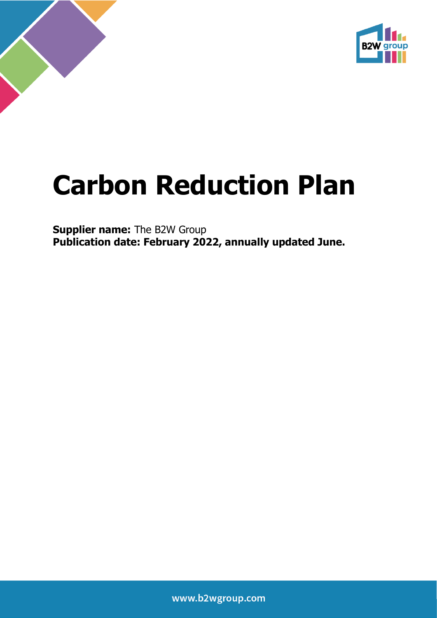

# **Carbon Reduction Plan**

**Supplier name:** The B2W Group **Publication date: February 2022, annually updated June.**

www.b2wgroup.com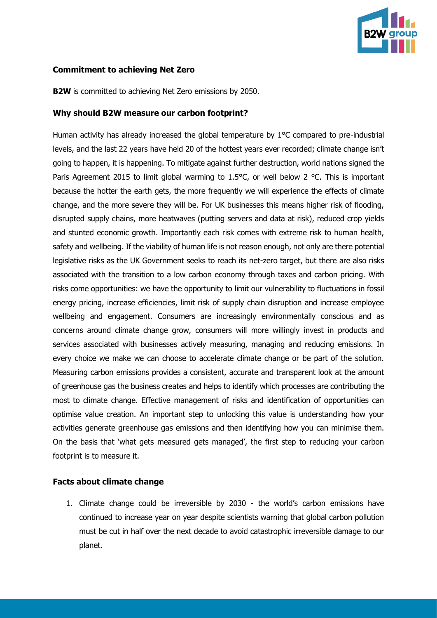

#### **Commitment to achieving Net Zero**

**B2W** is committed to achieving Net Zero emissions by 2050.

#### **Why should B2W measure our carbon footprint?**

Human activity has already increased the global temperature by 1°C compared to pre-industrial levels, and the last 22 years have held 20 of the hottest years ever recorded; climate change isn't going to happen, it is happening. To mitigate against further destruction, world nations signed the Paris Agreement 2015 to limit global warming to 1.5°C, or well below 2 °C. This is important because the hotter the earth gets, the more frequently we will experience the effects of climate change, and the more severe they will be. For UK businesses this means higher risk of flooding, disrupted supply chains, more heatwaves (putting servers and data at risk), reduced crop yields and stunted economic growth. Importantly each risk comes with extreme risk to human health, safety and wellbeing. If the viability of human life is not reason enough, not only are there potential legislative risks as the UK Government seeks to reach its net-zero target, but there are also risks associated with the transition to a low carbon economy through taxes and carbon pricing. With risks come opportunities: we have the opportunity to limit our vulnerability to fluctuations in fossil energy pricing, increase efficiencies, limit risk of supply chain disruption and increase employee wellbeing and engagement. Consumers are increasingly environmentally conscious and as concerns around climate change grow, consumers will more willingly invest in products and services associated with businesses actively measuring, managing and reducing emissions. In every choice we make we can choose to accelerate climate change or be part of the solution. Measuring carbon emissions provides a consistent, accurate and transparent look at the amount of greenhouse gas the business creates and helps to identify which processes are contributing the most to climate change. Effective management of risks and identification of opportunities can optimise value creation. An important step to unlocking this value is understanding how your activities generate greenhouse gas emissions and then identifying how you can minimise them. On the basis that 'what gets measured gets managed', the first step to reducing your carbon footprint is to measure it.

#### **Facts about climate change**

1. Climate change could be irreversible by 2030 - the world's carbon emissions have continued to increase year on year despite scientists warning that global carbon pollution must be cut in half over the next decade to avoid catastrophic irreversible damage to our planet.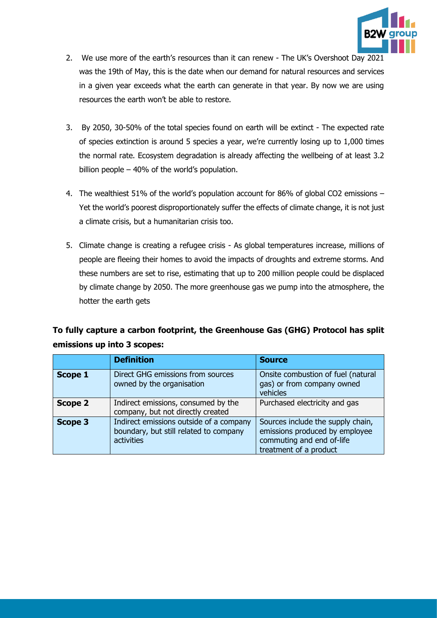

- 2. We use more of the earth's resources than it can renew The UK's Overshoot Day 2021 was the 19th of May, this is the date when our demand for natural resources and services in a given year exceeds what the earth can generate in that year. By now we are using resources the earth won't be able to restore.
- 3. By 2050, 30-50% of the total species found on earth will be extinct The expected rate of species extinction is around 5 species a year, we're currently losing up to 1,000 times the normal rate. Ecosystem degradation is already affecting the wellbeing of at least 3.2 billion people – 40% of the world's population.
- 4. The wealthiest 51% of the world's population account for 86% of global CO2 emissions Yet the world's poorest disproportionately suffer the effects of climate change, it is not just a climate crisis, but a humanitarian crisis too.
- 5. Climate change is creating a refugee crisis As global temperatures increase, millions of people are fleeing their homes to avoid the impacts of droughts and extreme storms. And these numbers are set to rise, estimating that up to 200 million people could be displaced by climate change by 2050. The more greenhouse gas we pump into the atmosphere, the hotter the earth gets

## **To fully capture a carbon footprint, the Greenhouse Gas (GHG) Protocol has split emissions up into 3 scopes:**

|                | <b>Definition</b>                                                                               | <b>Source</b>                                                                                                              |
|----------------|-------------------------------------------------------------------------------------------------|----------------------------------------------------------------------------------------------------------------------------|
| <b>Scope 1</b> | Direct GHG emissions from sources<br>owned by the organisation                                  | Onsite combustion of fuel (natural<br>gas) or from company owned<br>vehicles                                               |
| <b>Scope 2</b> | Indirect emissions, consumed by the<br>company, but not directly created                        | Purchased electricity and gas                                                                                              |
| <b>Scope 3</b> | Indirect emissions outside of a company<br>boundary, but still related to company<br>activities | Sources include the supply chain,<br>emissions produced by employee<br>commuting and end of-life<br>treatment of a product |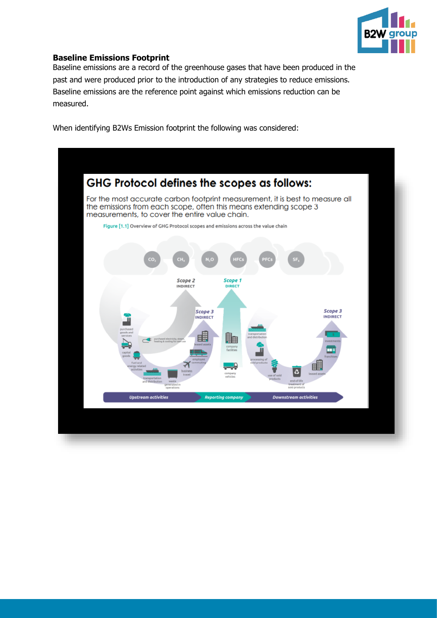

### **Baseline Emissions Footprint**

Baseline emissions are a record of the greenhouse gases that have been produced in the past and were produced prior to the introduction of any strategies to reduce emissions. Baseline emissions are the reference point against which emissions reduction can be measured.

When identifying B2Ws Emission footprint the following was considered:

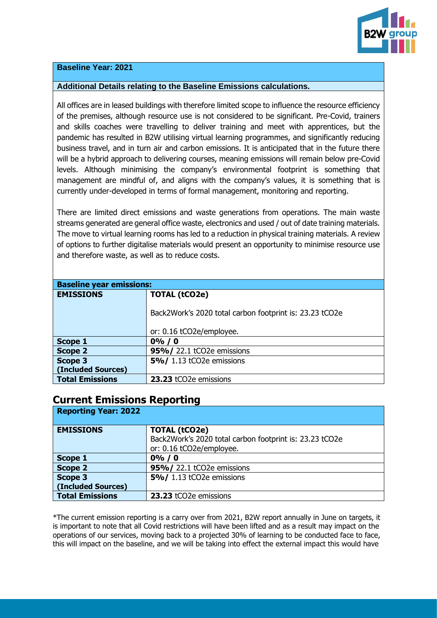

#### **Baseline Year: 2021**

#### **Additional Details relating to the Baseline Emissions calculations.**

All offices are in leased buildings with therefore limited scope to influence the resource efficiency of the premises, although resource use is not considered to be significant. Pre-Covid, trainers and skills coaches were travelling to deliver training and meet with apprentices, but the pandemic has resulted in B2W utilising virtual learning programmes, and significantly reducing business travel, and in turn air and carbon emissions. It is anticipated that in the future there will be a hybrid approach to delivering courses, meaning emissions will remain below pre-Covid levels. Although minimising the company's environmental footprint is something that management are mindful of, and aligns with the company's values, it is something that is currently under-developed in terms of formal management, monitoring and reporting.

There are limited direct emissions and waste generations from operations. The main waste streams generated are general office waste, electronics and used / out of date training materials. The move to virtual learning rooms has led to a reduction in physical training materials. A review of options to further digitalise materials would present an opportunity to minimise resource use and therefore waste, as well as to reduce costs.

| <b>Baseline year emissions:</b> |                                                         |  |
|---------------------------------|---------------------------------------------------------|--|
| <b>EMISSIONS</b>                | <b>TOTAL (tCO2e)</b>                                    |  |
|                                 |                                                         |  |
|                                 | Back2Work's 2020 total carbon footprint is: 23.23 tCO2e |  |
|                                 |                                                         |  |
|                                 | or: 0.16 tCO2e/employee.                                |  |
| Scope 1                         | $0\%$ / 0                                               |  |
| <b>Scope 2</b>                  | 95%/ 22.1 tCO2e emissions                               |  |
| <b>Scope 3</b>                  | 5%/ 1.13 tCO2e emissions                                |  |
| (Included Sources)              |                                                         |  |
| <b>Total Emissions</b>          | 23.23 tCO2e emissions                                   |  |

## **Current Emissions Reporting**

| <b>Reporting Year: 2022</b> |                                                                                                             |  |
|-----------------------------|-------------------------------------------------------------------------------------------------------------|--|
| <b>EMISSIONS</b>            | <b>TOTAL (tCO2e)</b><br>Back2Work's 2020 total carbon footprint is: 23.23 tCO2e<br>or: 0.16 tCO2e/employee. |  |
| Scope 1                     | $0\% / 0$                                                                                                   |  |
| <b>Scope 2</b>              | 95%/22.1 tCO2e emissions                                                                                    |  |
| Scope 3                     | 5%/ 1.13 tCO2e emissions                                                                                    |  |
| (Included Sources)          |                                                                                                             |  |
| <b>Total Emissions</b>      | 23.23 tCO2e emissions                                                                                       |  |

\*The current emission reporting is a carry over from 2021, B2W report annually in June on targets, it is important to note that all Covid restrictions will have been lifted and as a result may impact on the operations of our services, moving back to a projected 30% of learning to be conducted face to face, this will impact on the baseline, and we will be taking into effect the external impact this would have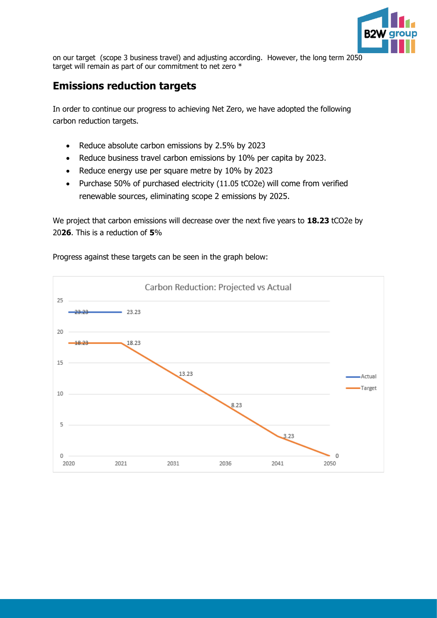

on our target (scope 3 business travel) and adjusting according. However, the long term 2050 target will remain as part of our commitment to net zero \*

# **Emissions reduction targets**

In order to continue our progress to achieving Net Zero, we have adopted the following carbon reduction targets.

- Reduce absolute carbon emissions by 2.5% by 2023
- Reduce business travel carbon emissions by 10% per capita by 2023.
- Reduce energy use per square metre by 10% by 2023
- Purchase 50% of purchased electricity (11.05 tCO2e) will come from verified renewable sources, eliminating scope 2 emissions by 2025.

We project that carbon emissions will decrease over the next five years to **18.23** tCO2e by 20**26**. This is a reduction of **5**%



Progress against these targets can be seen in the graph below: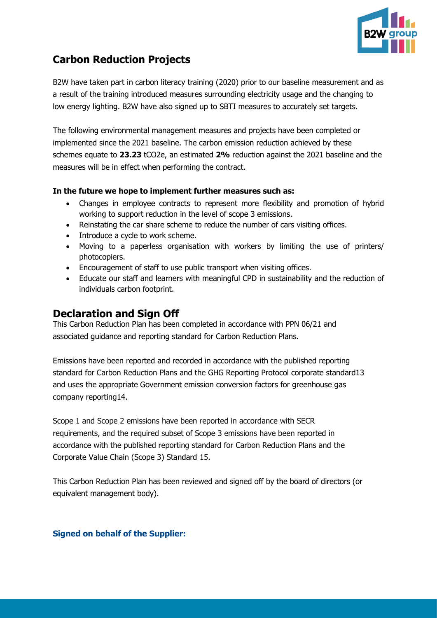

# **Carbon Reduction Projects**

B2W have taken part in carbon literacy training (2020) prior to our baseline measurement and as a result of the training introduced measures surrounding electricity usage and the changing to low energy lighting. B2W have also signed up to SBTI measures to accurately set targets.

The following environmental management measures and projects have been completed or implemented since the 2021 baseline. The carbon emission reduction achieved by these schemes equate to **23.23** tCO2e, an estimated **2%** reduction against the 2021 baseline and the measures will be in effect when performing the contract.

## **In the future we hope to implement further measures such as:**

- Changes in employee contracts to represent more flexibility and promotion of hybrid working to support reduction in the level of scope 3 emissions.
- Reinstating the car share scheme to reduce the number of cars visiting offices.
- Introduce a cycle to work scheme.
- Moving to a paperless organisation with workers by limiting the use of printers/ photocopiers.
- Encouragement of staff to use public transport when visiting offices.
- Educate our staff and learners with meaningful CPD in sustainability and the reduction of individuals carbon footprint.

# **Declaration and Sign Off**

This Carbon Reduction Plan has been completed in accordance with PPN 06/21 and associated guidance and reporting standard for Carbon Reduction Plans.

Emissions have been reported and recorded in accordance with the published reporting standard for Carbon Reduction Plans and the GHG Reporting Protocol corporate standard13 and uses the appropriate Government emission conversion factors for greenhouse gas company reporting14.

Scope 1 and Scope 2 emissions have been reported in accordance with SECR requirements, and the required subset of Scope 3 emissions have been reported in accordance with the published reporting standard for Carbon Reduction Plans and the Corporate Value Chain (Scope 3) Standard 15.

This Carbon Reduction Plan has been reviewed and signed off by the board of directors (or equivalent management body).

## **Signed on behalf of the Supplier:**